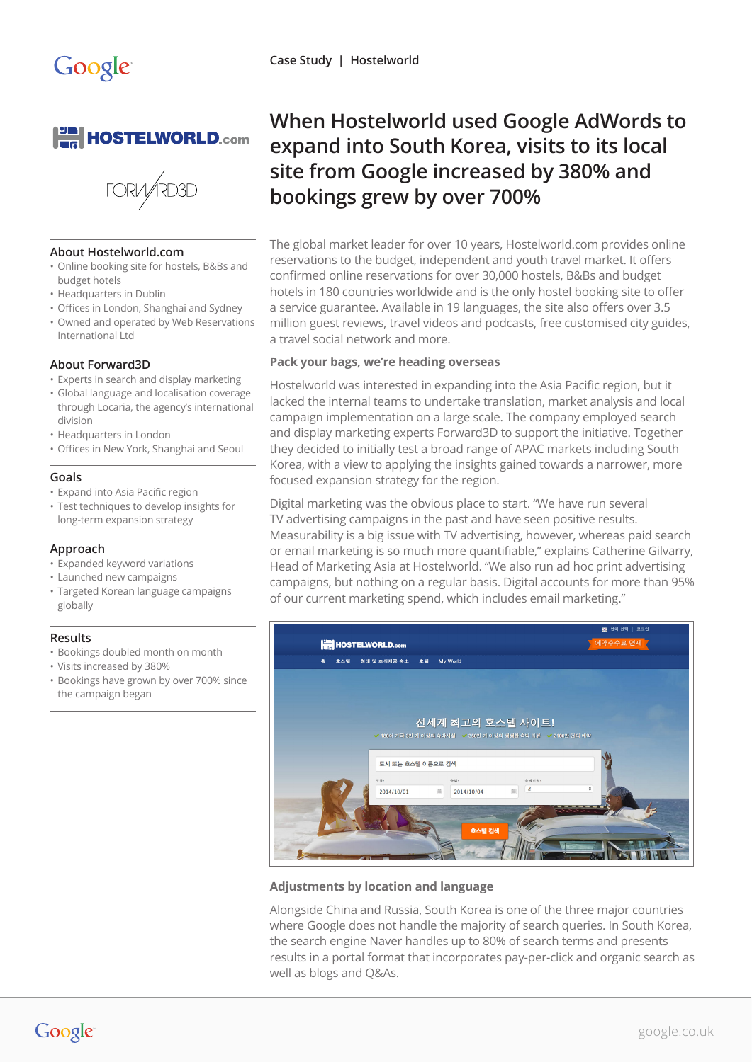

#### **About [Hostelworld.com](http://www.Hostelworld.com)**

- Online booking site for hostels, B&Bs and budget hotels
- Headquarters in Dublin
- Offices in London, Shanghai and Sydney
- Owned and operated by Web Reservations International Ltd

#### **About Forward3D**

- Experts in search and display marketing
- Global language and localisation coverage through Locaria, the agency's international division
- Headquarters in London
- Offices in New York, Shanghai and Seoul

#### **Goals**

- Expand into Asia Pacific region
- Test techniques to develop insights for long-term expansion strategy

## **Approach**

- Expanded keyword variations
- Launched new campaigns
- Targeted Korean language campaigns globally

## **Results**

- Bookings doubled month on month
- Visits increased by 380%
- Bookings have grown by over 700% since the campaign began

# **When Hostelworld used Google AdWords to expand into South Korea, visits to its local site from Google increased by 380% and bookings grew by over 700%**

The global market leader for over 10 years, Hostelworld.com provides online reservations to the budget, independent and youth travel market. It offers confirmed online reservations for over 30,000 hostels, B&Bs and budget hotels in 180 countries worldwide and is the only hostel booking site to offer a service guarantee. Available in 19 languages, the site also offers over 3.5 million guest reviews, travel videos and podcasts, free customised city guides, a travel social network and more.

## **Pack your bags, we're heading overseas**

Hostelworld was interested in expanding into the Asia Pacific region, but it lacked the internal teams to undertake translation, market analysis and local campaign implementation on a large scale. The company employed search and display marketing experts Forward3D to support the initiative. Together they decided to initially test a broad range of APAC markets including South Korea, with a view to applying the insights gained towards a narrower, more focused expansion strategy for the region.

Digital marketing was the obvious place to start. "We have run several TV advertising campaigns in the past and have seen positive results. Measurability is a big issue with TV advertising, however, whereas paid search or email marketing is so much more quantifiable," explains Catherine Gilvarry, Head of Marketing Asia at Hostelworld. "We also run ad hoc print advertising campaigns, but nothing on a regular basis. Digital accounts for more than 95% of our current marketing spend, which includes email marketing."



## **Adjustments by location and language**

Alongside China and Russia, South Korea is one of the three major countries where Google does not handle the majority of search queries. In South Korea, the search engine Naver handles up to 80% of search terms and presents results in a portal format that incorporates pay-per-click and organic search as well as blogs and Q&As.